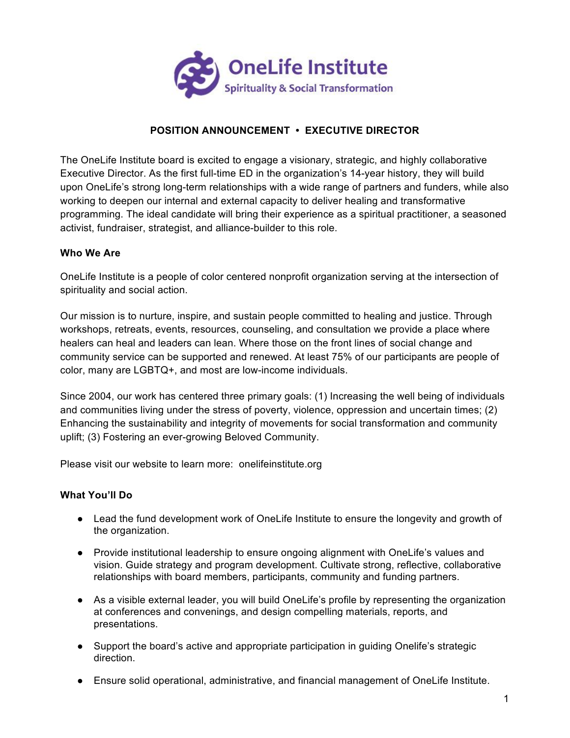

# **POSITION ANNOUNCEMENT • EXECUTIVE DIRECTOR**

The OneLife Institute board is excited to engage a visionary, strategic, and highly collaborative Executive Director. As the first full-time ED in the organization's 14-year history, they will build upon OneLife's strong long-term relationships with a wide range of partners and funders, while also working to deepen our internal and external capacity to deliver healing and transformative programming. The ideal candidate will bring their experience as a spiritual practitioner, a seasoned activist, fundraiser, strategist, and alliance-builder to this role.

#### **Who We Are**

OneLife Institute is a people of color centered nonprofit organization serving at the intersection of spirituality and social action.

Our mission is to nurture, inspire, and sustain people committed to healing and justice. Through workshops, retreats, events, resources, counseling, and consultation we provide a place where healers can heal and leaders can lean. Where those on the front lines of social change and community service can be supported and renewed. At least 75% of our participants are people of color, many are LGBTQ+, and most are low-income individuals.

Since 2004, our work has centered three primary goals: (1) Increasing the well being of individuals and communities living under the stress of poverty, violence, oppression and uncertain times; (2) Enhancing the sustainability and integrity of movements for social transformation and community uplift; (3) Fostering an ever-growing Beloved Community.

Please visit our website to learn more: onelifeinstitute.org

#### **What You'll Do**

- Lead the fund development work of OneLife Institute to ensure the longevity and growth of the organization.
- Provide institutional leadership to ensure ongoing alignment with OneLife's values and vision. Guide strategy and program development. Cultivate strong, reflective, collaborative relationships with board members, participants, community and funding partners.
- As a visible external leader, you will build OneLife's profile by representing the organization at conferences and convenings, and design compelling materials, reports, and presentations.
- Support the board's active and appropriate participation in guiding Onelife's strategic direction.
- Ensure solid operational, administrative, and financial management of OneLife Institute.